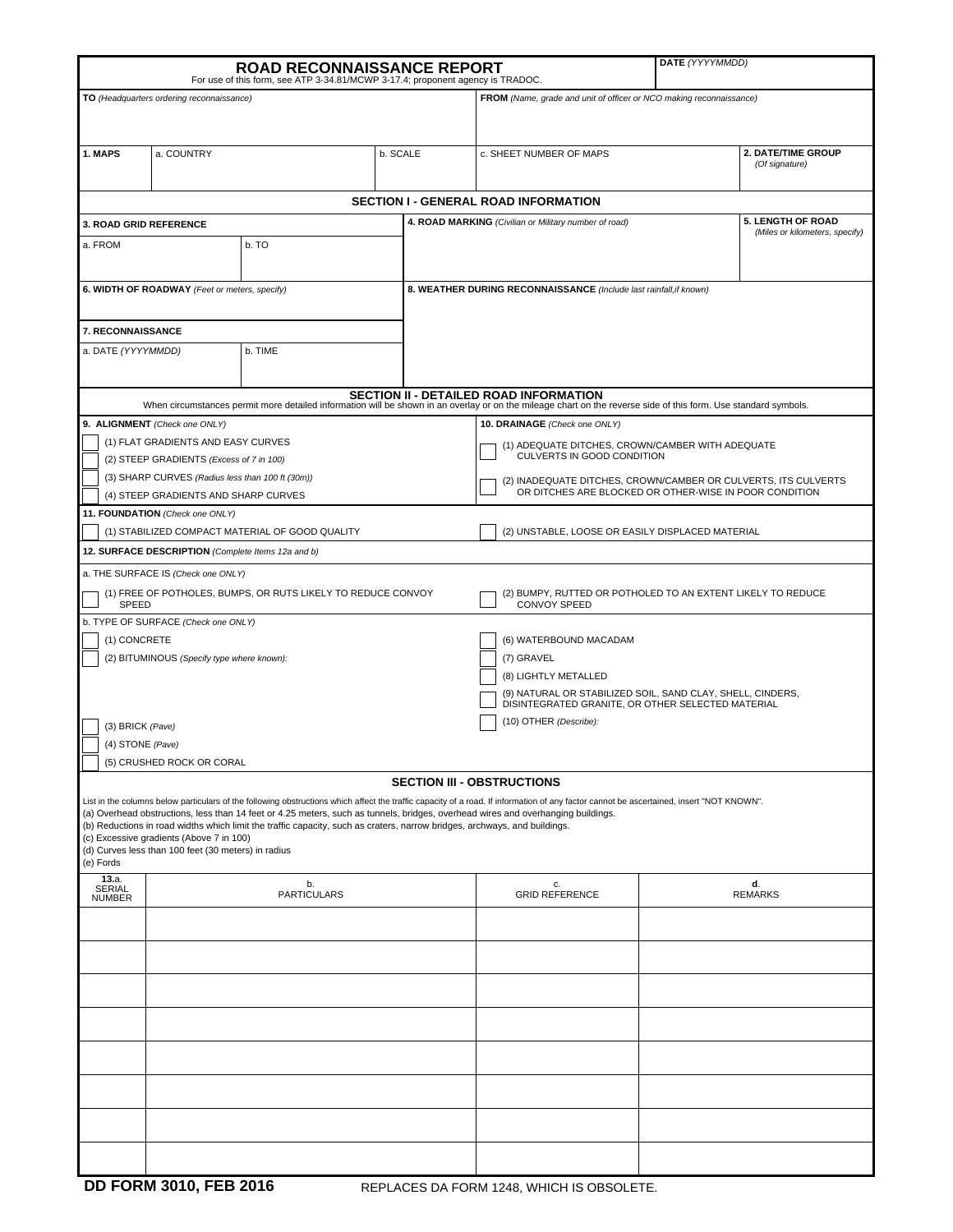|                                                                                                                                                                                                                                                                                                                                                                                                                                                                                                                                                                           |            | <b>ROAD RECONNAISSANCE REPORT</b><br>For use of this form, see ATP 3-34.81/MCWP 3-17.4; proponent agency is TRADOC. |          |                                                                    | DATE (YYYYMMDD)                                                                                                          |  |                                      |  |
|---------------------------------------------------------------------------------------------------------------------------------------------------------------------------------------------------------------------------------------------------------------------------------------------------------------------------------------------------------------------------------------------------------------------------------------------------------------------------------------------------------------------------------------------------------------------------|------------|---------------------------------------------------------------------------------------------------------------------|----------|--------------------------------------------------------------------|--------------------------------------------------------------------------------------------------------------------------|--|--------------------------------------|--|
| TO (Headquarters ordering reconnaissance)                                                                                                                                                                                                                                                                                                                                                                                                                                                                                                                                 |            |                                                                                                                     |          |                                                                    | FROM (Name, grade and unit of officer or NCO making reconnaissance)                                                      |  |                                      |  |
|                                                                                                                                                                                                                                                                                                                                                                                                                                                                                                                                                                           |            |                                                                                                                     |          |                                                                    |                                                                                                                          |  |                                      |  |
| 1. MAPS                                                                                                                                                                                                                                                                                                                                                                                                                                                                                                                                                                   | a. COUNTRY |                                                                                                                     | b. SCALE |                                                                    | c. SHEET NUMBER OF MAPS                                                                                                  |  | 2. DATE/TIME GROUP<br>(Of signature) |  |
| <b>SECTION I - GENERAL ROAD INFORMATION</b>                                                                                                                                                                                                                                                                                                                                                                                                                                                                                                                               |            |                                                                                                                     |          |                                                                    |                                                                                                                          |  |                                      |  |
| <b>5. LENGTH OF ROAD</b><br>4. ROAD MARKING (Civilian or Military number of road)<br><b>3. ROAD GRID REFERENCE</b>                                                                                                                                                                                                                                                                                                                                                                                                                                                        |            |                                                                                                                     |          |                                                                    |                                                                                                                          |  |                                      |  |
| a. FROM                                                                                                                                                                                                                                                                                                                                                                                                                                                                                                                                                                   |            | b. TO                                                                                                               |          |                                                                    | (Miles or kilometers, specify)                                                                                           |  |                                      |  |
|                                                                                                                                                                                                                                                                                                                                                                                                                                                                                                                                                                           |            |                                                                                                                     |          |                                                                    |                                                                                                                          |  |                                      |  |
| 6. WIDTH OF ROADWAY (Feet or meters, specify)                                                                                                                                                                                                                                                                                                                                                                                                                                                                                                                             |            |                                                                                                                     |          | 8. WEATHER DURING RECONNAISSANCE (Include last rainfall, if known) |                                                                                                                          |  |                                      |  |
| 7. RECONNAISSANCE                                                                                                                                                                                                                                                                                                                                                                                                                                                                                                                                                         |            |                                                                                                                     |          |                                                                    |                                                                                                                          |  |                                      |  |
| a. DATE (YYYYMMDD)                                                                                                                                                                                                                                                                                                                                                                                                                                                                                                                                                        |            | b. TIME                                                                                                             |          |                                                                    |                                                                                                                          |  |                                      |  |
| <b>SECTION II - DETAILED ROAD INFORMATION</b><br>When circumstances permit more detailed information will be shown in an overlay or on the mileage chart on the reverse side of this form. Use standard symbols.                                                                                                                                                                                                                                                                                                                                                          |            |                                                                                                                     |          |                                                                    |                                                                                                                          |  |                                      |  |
| 9. ALIGNMENT (Check one ONLY)                                                                                                                                                                                                                                                                                                                                                                                                                                                                                                                                             |            |                                                                                                                     |          |                                                                    | 10. DRAINAGE (Check one ONLY)                                                                                            |  |                                      |  |
| (1) FLAT GRADIENTS AND EASY CURVES                                                                                                                                                                                                                                                                                                                                                                                                                                                                                                                                        |            |                                                                                                                     |          |                                                                    | (1) ADEQUATE DITCHES, CROWN/CAMBER WITH ADEQUATE                                                                         |  |                                      |  |
| (2) STEEP GRADIENTS (Excess of 7 in 100)                                                                                                                                                                                                                                                                                                                                                                                                                                                                                                                                  |            |                                                                                                                     |          |                                                                    | CULVERTS IN GOOD CONDITION                                                                                               |  |                                      |  |
| (3) SHARP CURVES (Radius less than 100 ft (30m))<br>(4) STEEP GRADIENTS AND SHARP CURVES                                                                                                                                                                                                                                                                                                                                                                                                                                                                                  |            |                                                                                                                     |          |                                                                    | (2) INADEQUATE DITCHES, CROWN/CAMBER OR CULVERTS, ITS CULVERTS<br>OR DITCHES ARE BLOCKED OR OTHER-WISE IN POOR CONDITION |  |                                      |  |
| 11. FOUNDATION (Check one ONLY)                                                                                                                                                                                                                                                                                                                                                                                                                                                                                                                                           |            |                                                                                                                     |          |                                                                    |                                                                                                                          |  |                                      |  |
| (1) STABILIZED COMPACT MATERIAL OF GOOD QUALITY<br>(2) UNSTABLE, LOOSE OR EASILY DISPLACED MATERIAL                                                                                                                                                                                                                                                                                                                                                                                                                                                                       |            |                                                                                                                     |          |                                                                    |                                                                                                                          |  |                                      |  |
| 12. SURFACE DESCRIPTION (Complete Items 12a and b)                                                                                                                                                                                                                                                                                                                                                                                                                                                                                                                        |            |                                                                                                                     |          |                                                                    |                                                                                                                          |  |                                      |  |
| a. THE SURFACE IS (Check one ONLY)                                                                                                                                                                                                                                                                                                                                                                                                                                                                                                                                        |            |                                                                                                                     |          |                                                                    |                                                                                                                          |  |                                      |  |
| (1) FREE OF POTHOLES, BUMPS, OR RUTS LIKELY TO REDUCE CONVOY<br>(2) BUMPY, RUTTED OR POTHOLED TO AN EXTENT LIKELY TO REDUCE<br>SPEED<br><b>CONVOY SPEED</b>                                                                                                                                                                                                                                                                                                                                                                                                               |            |                                                                                                                     |          |                                                                    |                                                                                                                          |  |                                      |  |
| b. TYPE OF SURFACE (Check one ONLY)                                                                                                                                                                                                                                                                                                                                                                                                                                                                                                                                       |            |                                                                                                                     |          |                                                                    | (6) WATERBOUND MACADAM                                                                                                   |  |                                      |  |
| (1) CONCRETE<br>(2) BITUMINOUS (Specify type where known):                                                                                                                                                                                                                                                                                                                                                                                                                                                                                                                |            |                                                                                                                     |          |                                                                    | (7) GRAVEL                                                                                                               |  |                                      |  |
|                                                                                                                                                                                                                                                                                                                                                                                                                                                                                                                                                                           |            |                                                                                                                     |          |                                                                    | (8) LIGHTLY METALLED                                                                                                     |  |                                      |  |
|                                                                                                                                                                                                                                                                                                                                                                                                                                                                                                                                                                           |            |                                                                                                                     |          |                                                                    | (9) NATURAL OR STABILIZED SOIL, SAND CLAY, SHELL, CINDERS,<br>DISINTEGRATED GRANITE, OR OTHER SELECTED MATERIAL          |  |                                      |  |
| (3) BRICK (Pave)                                                                                                                                                                                                                                                                                                                                                                                                                                                                                                                                                          |            |                                                                                                                     |          |                                                                    | (10) OTHER (Describe):                                                                                                   |  |                                      |  |
| (4) STONE (Pave)                                                                                                                                                                                                                                                                                                                                                                                                                                                                                                                                                          |            |                                                                                                                     |          |                                                                    |                                                                                                                          |  |                                      |  |
| (5) CRUSHED ROCK OR CORAL                                                                                                                                                                                                                                                                                                                                                                                                                                                                                                                                                 |            |                                                                                                                     |          |                                                                    |                                                                                                                          |  |                                      |  |
| <b>SECTION III - OBSTRUCTIONS</b>                                                                                                                                                                                                                                                                                                                                                                                                                                                                                                                                         |            |                                                                                                                     |          |                                                                    |                                                                                                                          |  |                                      |  |
| List in the columns below particulars of the following obstructions which affect the traffic capacity of a road. If information of any factor cannot be ascertained, insert "NOT KNOWN".<br>(a) Overhead obstructions, less than 14 feet or 4.25 meters, such as tunnels, bridges, overhead wires and overhanging buildings.<br>(b) Reductions in road widths which limit the traffic capacity, such as craters, narrow bridges, archways, and buildings.<br>(c) Excessive gradients (Above 7 in 100)<br>(d) Curves less than 100 feet (30 meters) in radius<br>(e) Fords |            |                                                                                                                     |          |                                                                    |                                                                                                                          |  |                                      |  |
| 13.a.<br>SERIAL<br><b>NUMBER</b>                                                                                                                                                                                                                                                                                                                                                                                                                                                                                                                                          |            | b.<br><b>PARTICULARS</b>                                                                                            |          |                                                                    | c.<br><b>GRID REFERENCE</b>                                                                                              |  | d.<br><b>REMARKS</b>                 |  |
|                                                                                                                                                                                                                                                                                                                                                                                                                                                                                                                                                                           |            |                                                                                                                     |          |                                                                    |                                                                                                                          |  |                                      |  |
|                                                                                                                                                                                                                                                                                                                                                                                                                                                                                                                                                                           |            |                                                                                                                     |          |                                                                    |                                                                                                                          |  |                                      |  |
|                                                                                                                                                                                                                                                                                                                                                                                                                                                                                                                                                                           |            |                                                                                                                     |          |                                                                    |                                                                                                                          |  |                                      |  |
|                                                                                                                                                                                                                                                                                                                                                                                                                                                                                                                                                                           |            |                                                                                                                     |          |                                                                    |                                                                                                                          |  |                                      |  |
|                                                                                                                                                                                                                                                                                                                                                                                                                                                                                                                                                                           |            |                                                                                                                     |          |                                                                    |                                                                                                                          |  |                                      |  |
|                                                                                                                                                                                                                                                                                                                                                                                                                                                                                                                                                                           |            |                                                                                                                     |          |                                                                    |                                                                                                                          |  |                                      |  |
|                                                                                                                                                                                                                                                                                                                                                                                                                                                                                                                                                                           |            |                                                                                                                     |          |                                                                    |                                                                                                                          |  |                                      |  |
|                                                                                                                                                                                                                                                                                                                                                                                                                                                                                                                                                                           |            |                                                                                                                     |          |                                                                    |                                                                                                                          |  |                                      |  |